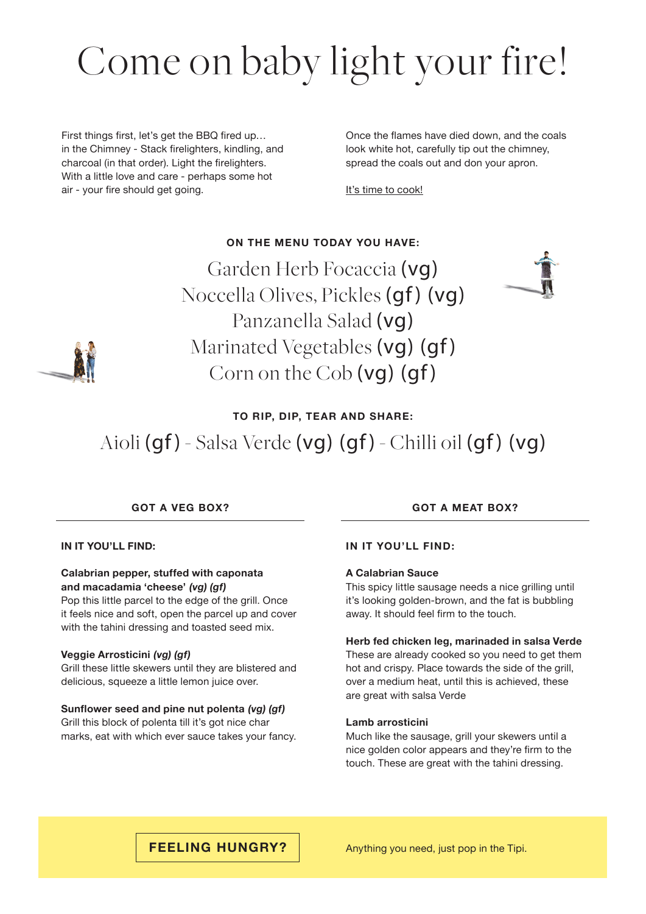# Come on baby light your fire!

First things first, let's get the BBQ fired up… in the Chimney - Stack firelighters, kindling, and charcoal (in that order). Light the firelighters. With a little love and care - perhaps some hot air - your fire should get going.

Once the flames have died down, and the coals look white hot, carefully tip out the chimney, spread the coals out and don your apron.

It's time to cook!

### **ON THE MENU TODAY YOU HAVE:**

Garden Herb Focaccia (vg) Noccella Olives, Pickles (gf) (vg) Panzanella Salad (vg) Marinated Vegetables (vg) (gf) Corn on the Cob (vg) (gf)





### **TO RIP, DIP, TEAR AND SHARE:**

## Aioli (gf) - Salsa Verde (vg) (gf) - Chilli oil (gf) (vg)

**IN IT YOU'LL FIND:**

#### **Calabrian pepper, stuffed with caponata and macadamia 'cheese' (vg) (gf)**

Pop this little parcel to the edge of the grill. Once it feels nice and soft, open the parcel up and cover with the tahini dressing and toasted seed mix.

#### **Veggie Arrosticini (vg) (gf)**

Grill these little skewers until they are blistered and delicious, squeeze a little lemon juice over.

#### **Sunflower seed and pine nut polenta (vg) (gf)**

Grill this block of polenta till it's got nice char marks, eat with which ever sauce takes your fancy.

#### **GOT A VEG BOX? GOT A MEAT BOX?**

#### **IN IT YOU'LL FIND:**

#### **A Calabrian Sauce**

This spicy little sausage needs a nice grilling until it's looking golden-brown, and the fat is bubbling away. It should feel firm to the touch.

#### **Herb fed chicken leg, marinaded in salsa Verde**

These are already cooked so you need to get them hot and crispy. Place towards the side of the grill, over a medium heat, until this is achieved, these are great with salsa Verde

#### **Lamb arrosticini**

Much like the sausage, grill your skewers until a nice golden color appears and they're firm to the touch. These are great with the tahini dressing.

**FEELING HUNGRY?** Anything you need, just pop in the Tipi.